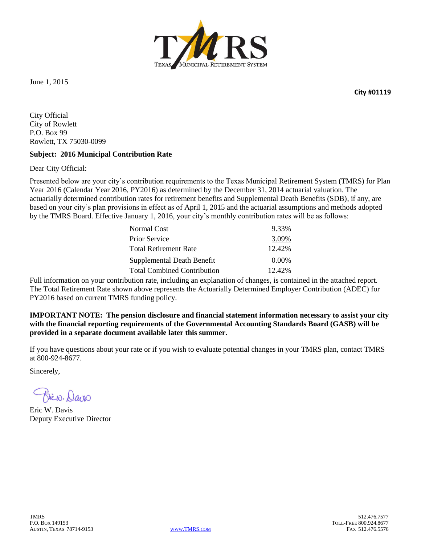

June 1, 2015

**City #01119**

City Official City of Rowlett P.O. Box 99 Rowlett, TX 75030-0099

#### **Subject: 2016 Municipal Contribution Rate**

Dear City Official:

Presented below are your city's contribution requirements to the Texas Municipal Retirement System (TMRS) for Plan Year 2016 (Calendar Year 2016, PY2016) as determined by the December 31, 2014 actuarial valuation. The actuarially determined contribution rates for retirement benefits and Supplemental Death Benefits (SDB), if any, are based on your city's plan provisions in effect as of April 1, 2015 and the actuarial assumptions and methods adopted by the TMRS Board. Effective January 1, 2016, your city's monthly contribution rates will be as follows:

| 9.33%    |
|----------|
| 3.09%    |
| 12.42%   |
| $0.00\%$ |
| 12.42%   |
|          |

Full information on your contribution rate, including an explanation of changes, is contained in the attached report. The Total Retirement Rate shown above represents the Actuarially Determined Employer Contribution (ADEC) for PY2016 based on current TMRS funding policy.

**IMPORTANT NOTE: The pension disclosure and financial statement information necessary to assist your city with the financial reporting requirements of the Governmental Accounting Standards Board (GASB) will be provided in a separate document available later this summer.**

If you have questions about your rate or if you wish to evaluate potential changes in your TMRS plan, contact TMRS at 800-924-8677.

Sincerely,

Eric W. Davis Deputy Executive Director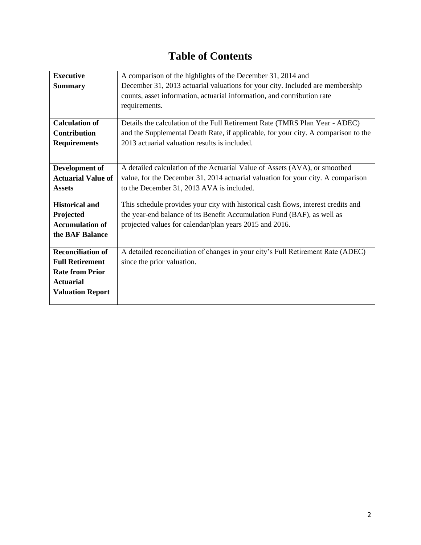# **Table of Contents**

| <b>Executive</b>          | A comparison of the highlights of the December 31, 2014 and                        |
|---------------------------|------------------------------------------------------------------------------------|
| <b>Summary</b>            | December 31, 2013 actuarial valuations for your city. Included are membership      |
|                           | counts, asset information, actuarial information, and contribution rate            |
|                           | requirements.                                                                      |
|                           |                                                                                    |
| <b>Calculation of</b>     | Details the calculation of the Full Retirement Rate (TMRS Plan Year - ADEC)        |
| <b>Contribution</b>       | and the Supplemental Death Rate, if applicable, for your city. A comparison to the |
| <b>Requirements</b>       | 2013 actuarial valuation results is included.                                      |
|                           |                                                                                    |
| Development of            | A detailed calculation of the Actuarial Value of Assets (AVA), or smoothed         |
| <b>Actuarial Value of</b> | value, for the December 31, 2014 actuarial valuation for your city. A comparison   |
| <b>Assets</b>             | to the December 31, 2013 AVA is included.                                          |
|                           |                                                                                    |
| <b>Historical and</b>     | This schedule provides your city with historical cash flows, interest credits and  |
| Projected                 | the year-end balance of its Benefit Accumulation Fund (BAF), as well as            |
| <b>Accumulation of</b>    | projected values for calendar/plan years 2015 and 2016.                            |
| the BAF Balance           |                                                                                    |
|                           |                                                                                    |
| <b>Reconciliation of</b>  | A detailed reconciliation of changes in your city's Full Retirement Rate (ADEC)    |
| <b>Full Retirement</b>    | since the prior valuation.                                                         |
| <b>Rate from Prior</b>    |                                                                                    |
| <b>Actuarial</b>          |                                                                                    |
| <b>Valuation Report</b>   |                                                                                    |
|                           |                                                                                    |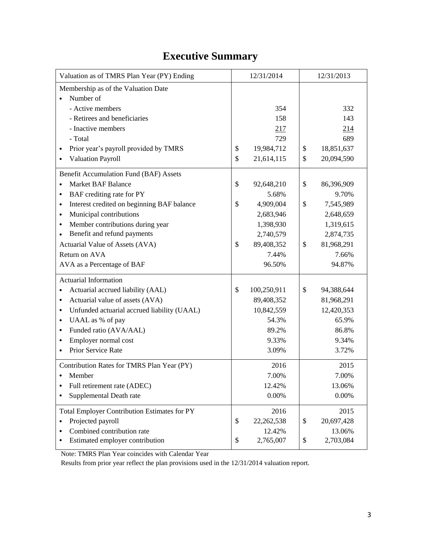# **Executive Summary**

| Valuation as of TMRS Plan Year (PY) Ending               | 12/31/2014         |                  | 12/31/2013 |  |  |  |
|----------------------------------------------------------|--------------------|------------------|------------|--|--|--|
| Membership as of the Valuation Date                      |                    |                  |            |  |  |  |
| Number of                                                |                    |                  |            |  |  |  |
| - Active members                                         | 354                |                  | 332        |  |  |  |
| - Retirees and beneficiaries                             | 158                | 143              |            |  |  |  |
| - Inactive members                                       | 217                | 214              |            |  |  |  |
| - Total                                                  | 729                |                  | 689        |  |  |  |
| Prior year's payroll provided by TMRS                    | \$<br>19,984,712   | 18,851,637<br>\$ |            |  |  |  |
| Valuation Payroll                                        | \$<br>21,614,115   | \$               | 20,094,590 |  |  |  |
| Benefit Accumulation Fund (BAF) Assets                   |                    |                  |            |  |  |  |
| <b>Market BAF Balance</b><br>$\bullet$                   | \$<br>92,648,210   | \$               | 86,396,909 |  |  |  |
| BAF crediting rate for PY<br>٠                           | 5.68%              |                  | 9.70%      |  |  |  |
| Interest credited on beginning BAF balance<br>$\bullet$  | \$<br>4,909,004    | \$               | 7,545,989  |  |  |  |
| Municipal contributions<br>$\bullet$                     | 2,683,946          |                  | 2,648,659  |  |  |  |
| Member contributions during year<br>$\bullet$            | 1,398,930          |                  | 1,319,615  |  |  |  |
| Benefit and refund payments                              | 2,740,579          |                  | 2,874,735  |  |  |  |
| Actuarial Value of Assets (AVA)                          | \$<br>89,408,352   | \$               | 81,968,291 |  |  |  |
| Return on AVA                                            | 7.44%              |                  | 7.66%      |  |  |  |
| AVA as a Percentage of BAF                               | 96.50%             |                  | 94.87%     |  |  |  |
| <b>Actuarial Information</b>                             |                    |                  |            |  |  |  |
| Actuarial accrued liability (AAL)                        | \$<br>100,250,911  | \$               | 94,388,644 |  |  |  |
| Actuarial value of assets (AVA)<br>٠                     | 89,408,352         |                  | 81,968,291 |  |  |  |
| Unfunded actuarial accrued liability (UAAL)<br>$\bullet$ | 10,842,559         |                  | 12,420,353 |  |  |  |
| UAAL as % of pay<br>$\bullet$                            | 54.3%              |                  | 65.9%      |  |  |  |
| Funded ratio (AVA/AAL)<br>٠                              | 89.2%              |                  | 86.8%      |  |  |  |
| Employer normal cost<br>٠                                | 9.33%              |                  | 9.34%      |  |  |  |
| Prior Service Rate                                       | 3.09%              |                  | 3.72%      |  |  |  |
| Contribution Rates for TMRS Plan Year (PY)               | 2016               |                  | 2015       |  |  |  |
| Member                                                   | 7.00%              |                  | 7.00%      |  |  |  |
| Full retirement rate (ADEC)                              | 12.42%             |                  | 13.06%     |  |  |  |
| Supplemental Death rate                                  | 0.00%              |                  | 0.00%      |  |  |  |
| <b>Total Employer Contribution Estimates for PY</b>      | 2016               |                  | 2015       |  |  |  |
| Projected payroll<br>$\bullet$                           | \$<br>22, 262, 538 | \$               | 20,697,428 |  |  |  |
| Combined contribution rate<br>٠                          | 12.42%             |                  | 13.06%     |  |  |  |
| Estimated employer contribution                          | \$<br>2,765,007    | \$               | 2,703,084  |  |  |  |

Note: TMRS Plan Year coincides with Calendar Year

Results from prior year reflect the plan provisions used in the 12/31/2014 valuation report.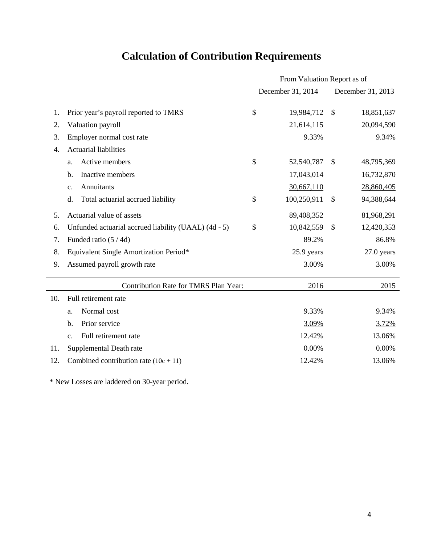# **Calculation of Contribution Requirements**

|     |                                                      | From Valuation Report as of |                             |  |  |  |  |
|-----|------------------------------------------------------|-----------------------------|-----------------------------|--|--|--|--|
|     |                                                      | December 31, 2014           | December 31, 2013           |  |  |  |  |
| 1.  | Prior year's payroll reported to TMRS                | \$<br>19,984,712            | $\mathcal{S}$<br>18,851,637 |  |  |  |  |
| 2.  | Valuation payroll                                    | 21,614,115                  | 20,094,590                  |  |  |  |  |
| 3.  | Employer normal cost rate                            | 9.33%                       | 9.34%                       |  |  |  |  |
| 4.  | <b>Actuarial liabilities</b>                         |                             |                             |  |  |  |  |
|     | Active members<br>a.                                 | \$<br>52,540,787            | $\mathcal{S}$<br>48,795,369 |  |  |  |  |
|     | Inactive members<br>$\mathbf{b}$ .                   | 17,043,014                  | 16,732,870                  |  |  |  |  |
|     | Annuitants<br>c.                                     | 30,667,110                  | 28,860,405                  |  |  |  |  |
|     | Total actuarial accrued liability<br>d.              | \$<br>100,250,911           | \$<br>94,388,644            |  |  |  |  |
| 5.  | Actuarial value of assets                            | 89,408,352                  | 81,968,291                  |  |  |  |  |
| 6.  | Unfunded actuarial accrued liability (UAAL) (4d - 5) | \$<br>10,842,559            | $\mathcal{S}$<br>12,420,353 |  |  |  |  |
| 7.  | Funded ratio (5/4d)                                  | 89.2%                       | 86.8%                       |  |  |  |  |
| 8.  | Equivalent Single Amortization Period*               | 25.9 years                  | $27.0$ years                |  |  |  |  |
| 9.  | Assumed payroll growth rate                          | 3.00%                       | 3.00%                       |  |  |  |  |
|     | Contribution Rate for TMRS Plan Year:                | 2016                        | 2015                        |  |  |  |  |
| 10. | Full retirement rate                                 |                             |                             |  |  |  |  |
|     | Normal cost<br>a.                                    | 9.33%                       | 9.34%                       |  |  |  |  |
|     | Prior service<br>b.                                  | 3.09%                       | 3.72%                       |  |  |  |  |
|     | Full retirement rate<br>C <sub>1</sub>               | 12.42%                      | 13.06%                      |  |  |  |  |
| 11. | Supplemental Death rate                              | 0.00%                       | 0.00%                       |  |  |  |  |
| 12. | Combined contribution rate $(10c + 11)$              | 12.42%                      | 13.06%                      |  |  |  |  |
|     |                                                      |                             |                             |  |  |  |  |

\* New Losses are laddered on 30-year period.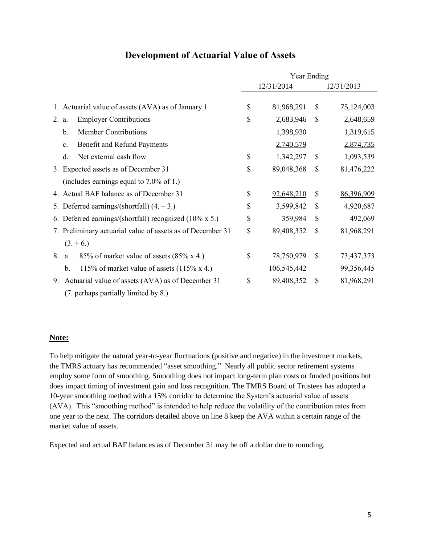|                                                                     | Year Ending |             |               |            |  |  |  |  |
|---------------------------------------------------------------------|-------------|-------------|---------------|------------|--|--|--|--|
|                                                                     |             | 12/31/2014  |               | 12/31/2013 |  |  |  |  |
|                                                                     |             |             |               |            |  |  |  |  |
| 1. Actuarial value of assets (AVA) as of January 1                  | \$          | 81,968,291  | $\mathbb{S}$  | 75,124,003 |  |  |  |  |
| <b>Employer Contributions</b><br>2. a.                              | \$          | 2,683,946   | \$            | 2,648,659  |  |  |  |  |
| <b>Member Contributions</b><br>$\mathbf{b}$ .                       |             | 1,398,930   |               | 1,319,615  |  |  |  |  |
| Benefit and Refund Payments<br>$\mathbf{c}$ .                       |             | 2,740,579   |               | 2,874,735  |  |  |  |  |
| Net external cash flow<br>d.                                        | \$          | 1,342,297   | \$            | 1,093,539  |  |  |  |  |
| 3. Expected assets as of December 31                                | \$          | 89,048,368  | \$            | 81,476,222 |  |  |  |  |
| (includes earnings equal to $7.0\%$ of 1.)                          |             |             |               |            |  |  |  |  |
| 4. Actual BAF balance as of December 31                             | \$          | 92,648,210  | \$            | 86,396,909 |  |  |  |  |
| 5. Deferred earnings/(shortfall) $(4. -3.)$                         | \$          | 3,599,842   | $\mathcal{S}$ | 4,920,687  |  |  |  |  |
| 6. Deferred earnings/(shortfall) recognized (10% x 5.)              | \$          | 359,984     | \$            | 492,069    |  |  |  |  |
| 7. Preliminary actuarial value of assets as of December 31          | \$          | 89,408,352  | $\mathcal{S}$ | 81,968,291 |  |  |  |  |
| $(3. + 6.)$                                                         |             |             |               |            |  |  |  |  |
| 85% of market value of assets (85% x 4.)<br>8.<br>a.                | \$          | 78,750,979  | \$            | 73,437,373 |  |  |  |  |
| 115% of market value of assets $(115\% \times 4.)$<br>$\mathbf b$ . |             | 106,545,442 |               | 99,356,445 |  |  |  |  |
| Actuarial value of assets (AVA) as of December 31<br>9.             | \$          | 89,408,352  | \$            | 81,968,291 |  |  |  |  |
| (7. perhaps partially limited by 8.)                                |             |             |               |            |  |  |  |  |

### **Development of Actuarial Value of Assets**

### **Note:**

To help mitigate the natural year-to-year fluctuations (positive and negative) in the investment markets, the TMRS actuary has recommended "asset smoothing." Nearly all public sector retirement systems employ some form of smoothing. Smoothing does not impact long-term plan costs or funded positions but does impact timing of investment gain and loss recognition. The TMRS Board of Trustees has adopted a 10-year smoothing method with a 15% corridor to determine the System's actuarial value of assets (AVA). This "smoothing method" is intended to help reduce the volatility of the contribution rates from one year to the next. The corridors detailed above on line 8 keep the AVA within a certain range of the market value of assets.

Expected and actual BAF balances as of December 31 may be off a dollar due to rounding.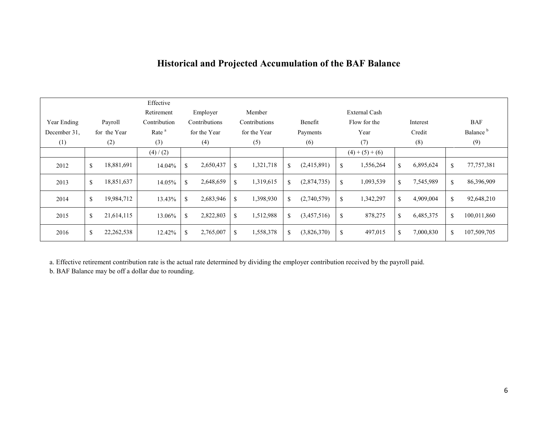## **Historical and Projected Accumulation of the BAF Balance**

|              |              |              | Effective<br>Retirement |               | Employer      |             | Member        |    |                                     |             | External Cash |             |           |              |                      |
|--------------|--------------|--------------|-------------------------|---------------|---------------|-------------|---------------|----|-------------------------------------|-------------|---------------|-------------|-----------|--------------|----------------------|
| Year Ending  |              | Payroll      | Contribution            |               | Contributions |             | Contributions |    | Flow for the<br>Benefit<br>Interest |             |               |             |           | <b>BAF</b>   |                      |
| December 31. |              | for the Year | Rate <sup>a</sup>       |               | for the Year  |             | for the Year  |    | Payments                            |             | Year          |             | Credit    |              | Balance <sup>b</sup> |
| (1)          |              | (2)          | (3)                     |               | (4)           |             | (5)           |    | (6)                                 |             | (7)           |             | (8)       |              | (9)                  |
|              |              |              | (4) / (2)               |               |               |             |               |    |                                     |             | $(4)+(5)+(6)$ |             |           |              |                      |
| 2012         | \$           | 18,881,691   | 14.04%                  | \$            | 2,650,437     | $\mathbf S$ | 1,321,718     | \$ | (2,415,891)                         | $\mathbf S$ | 1,556,264     | $\mathbf S$ | 6,895,624 | $\mathbb{S}$ | 77, 757, 381         |
| 2013         | \$           | 18,851,637   | 14.05%                  | \$            | 2,648,659     | \$          | 1,319,615     | \$ | (2,874,735)                         | \$          | 1,093,539     | \$          | 7,545,989 | \$           | 86,396,909           |
| 2014         | $\mathbb{S}$ | 19,984,712   | 13.43%                  | <sup>\$</sup> | 2,683,946     | $\mathbf S$ | 1,398,930     | \$ | (2,740,579)                         | \$          | 1,342,297     | $\mathbf S$ | 4,909,004 | \$           | 92,648,210           |
| 2015         | \$           | 21,614,115   | 13.06%                  | <sup>\$</sup> | 2,822,803     | \$          | 1,512,988     | S. | (3,457,516)                         | \$          | 878,275       | \$          | 6,485,375 | $\mathbb{S}$ | 100,011,860          |
| 2016         | \$           | 22,262,538   | 12.42%                  | <sup>\$</sup> | 2,765,007     | \$          | 1,558,378     | \$ | (3,826,370)                         | \$          | 497,015       | \$          | 7,000,830 | \$           | 107,509,705          |

a. Effective retirement contribution rate is the actual rate determined by dividing the employer contribution received by the payroll paid.

b. BAF Balance may be off a dollar due to rounding.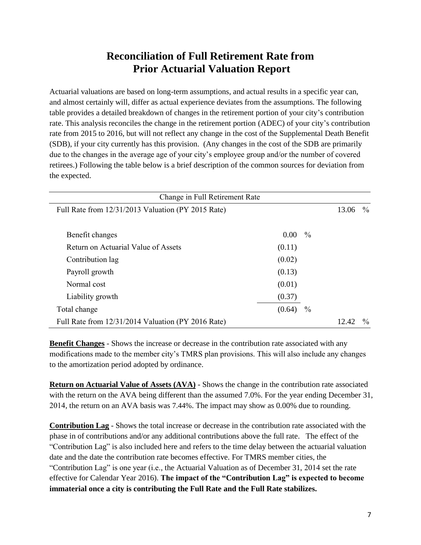### **Reconciliation of Full Retirement Rate from Prior Actuarial Valuation Report**

Actuarial valuations are based on long-term assumptions, and actual results in a specific year can, and almost certainly will, differ as actual experience deviates from the assumptions. The following table provides a detailed breakdown of changes in the retirement portion of your city's contribution rate. This analysis reconciles the change in the retirement portion (ADEC) of your city's contribution rate from 2015 to 2016, but will not reflect any change in the cost of the Supplemental Death Benefit (SDB), if your city currently has this provision. (Any changes in the cost of the SDB are primarily due to the changes in the average age of your city's employee group and/or the number of covered retirees.) Following the table below is a brief description of the common sources for deviation from the expected.

| Change in Full Retirement Rate                     |                   |               |       |               |  |  |  |  |
|----------------------------------------------------|-------------------|---------------|-------|---------------|--|--|--|--|
| Full Rate from 12/31/2013 Valuation (PY 2015 Rate) |                   |               | 13.06 | $\%$          |  |  |  |  |
|                                                    |                   |               |       |               |  |  |  |  |
| Benefit changes                                    | 0.00 <sub>1</sub> | $\%$          |       |               |  |  |  |  |
| Return on Actuarial Value of Assets                | (0.11)            |               |       |               |  |  |  |  |
| Contribution lag                                   | (0.02)            |               |       |               |  |  |  |  |
| Payroll growth                                     | (0.13)            |               |       |               |  |  |  |  |
| Normal cost                                        | (0.01)            |               |       |               |  |  |  |  |
| Liability growth                                   | (0.37)            |               |       |               |  |  |  |  |
| Total change                                       | (0.64)            | $\frac{0}{0}$ |       |               |  |  |  |  |
| Full Rate from 12/31/2014 Valuation (PY 2016 Rate) |                   |               | 12.42 | $\frac{0}{0}$ |  |  |  |  |

**Benefit Changes** - Shows the increase or decrease in the contribution rate associated with any modifications made to the member city's TMRS plan provisions. This will also include any changes to the amortization period adopted by ordinance.

**Return on Actuarial Value of Assets (AVA)** - Shows the change in the contribution rate associated with the return on the AVA being different than the assumed 7.0%. For the year ending December 31, 2014, the return on an AVA basis was 7.44%. The impact may show as 0.00% due to rounding.

**Contribution Lag** - Shows the total increase or decrease in the contribution rate associated with the phase in of contributions and/or any additional contributions above the full rate. The effect of the "Contribution Lag" is also included here and refers to the time delay between the actuarial valuation date and the date the contribution rate becomes effective. For TMRS member cities, the "Contribution Lag" is one year (i.e., the Actuarial Valuation as of December 31, 2014 set the rate effective for Calendar Year 2016). **The impact of the "Contribution Lag" is expected to become immaterial once a city is contributing the Full Rate and the Full Rate stabilizes.**